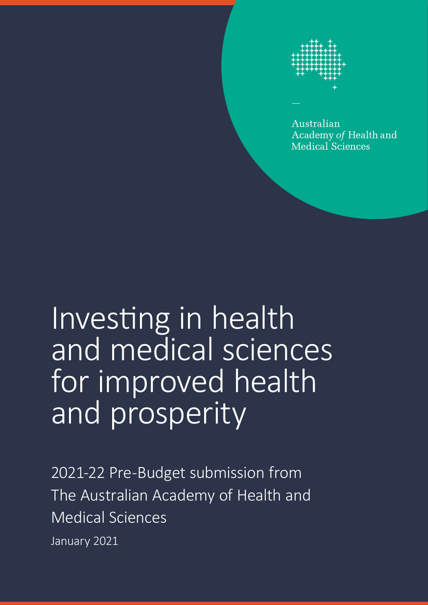

Australian Academy of Health and **Medical Sciences** 

# Investing in health and medical sciences for improved health and prosperity

2021-22 Pre-Budget submission from The Australian Academy of Health and Medical Sciences

January 2021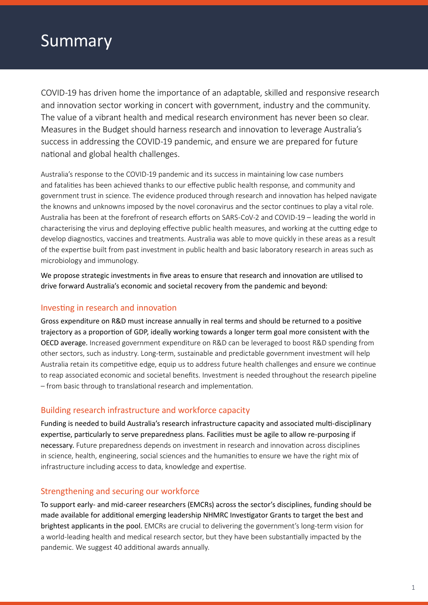## Summary

COVID-19 has driven home the importance of an adaptable, skilled and responsive research and innovation sector working in concert with government, industry and the community. The value of a vibrant health and medical research environment has never been so clear. Measures in the Budget should harness research and innovation to leverage Australia's success in addressing the COVID-19 pandemic, and ensure we are prepared for future national and global health challenges.

Australia's response to the COVID-19 pandemic and its success in maintaining low case numbers and fatalities has been achieved thanks to our effective public health response, and community and government trust in science. The evidence produced through research and innovation has helped navigate the knowns and unknowns imposed by the novel coronavirus and the sector continues to play a vital role. Australia has been at the forefront of research efforts on SARS-CoV-2 and COVID-19 – leading the world in characterising the virus and deploying effective public health measures, and working at the cutting edge to develop diagnostics, vaccines and treatments. Australia was able to move quickly in these areas as a result of the expertise built from past investment in public health and basic laboratory research in areas such as microbiology and immunology.

We propose strategic investments in five areas to ensure that research and innovation are utilised to drive forward Australia's economic and societal recovery from the pandemic and beyond:

### Investing in research and innovation

Gross expenditure on R&D must increase annually in real terms and should be returned to a positive trajectory as a proportion of GDP, ideally working towards a longer term goal more consistent with the OECD average. Increased government expenditure on R&D can be leveraged to boost R&D spending from other sectors, such as industry. Long-term, sustainable and predictable government investment will help Australia retain its competitive edge, equip us to address future health challenges and ensure we continue to reap associated economic and societal benefits. Investment is needed throughout the research pipeline – from basic through to translational research and implementation.

### Building research infrastructure and workforce capacity

Funding is needed to build Australia's research infrastructure capacity and associated multi-disciplinary expertise, particularly to serve preparedness plans. Facilities must be agile to allow re-purposing if necessary. Future preparedness depends on investment in research and innovation across disciplines in science, health, engineering, social sciences and the humanities to ensure we have the right mix of infrastructure including access to data, knowledge and expertise.

#### Strengthening and securing our workforce

To support early- and mid-career researchers (EMCRs) across the sector's disciplines, funding should be made available for additional emerging leadership NHMRC Investigator Grants to target the best and brightest applicants in the pool. EMCRs are crucial to delivering the government's long-term vision for a world-leading health and medical research sector, but they have been substantially impacted by the pandemic. We suggest 40 additional awards annually.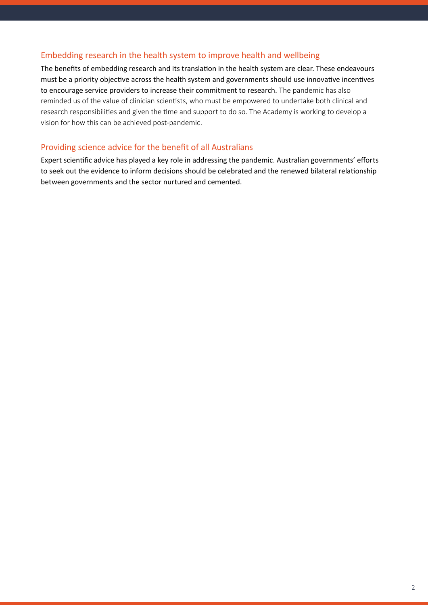### Embedding research in the health system to improve health and wellbeing

The benefits of embedding research and its translation in the health system are clear. These endeavours must be a priority objective across the health system and governments should use innovative incentives to encourage service providers to increase their commitment to research. The pandemic has also reminded us of the value of clinician scientists, who must be empowered to undertake both clinical and research responsibilities and given the time and support to do so. The Academy is working to develop a vision for how this can be achieved post-pandemic.

### Providing science advice for the benefit of all Australians

Expert scientific advice has played a key role in addressing the pandemic. Australian governments' efforts to seek out the evidence to inform decisions should be celebrated and the renewed bilateral relationship between governments and the sector nurtured and cemented.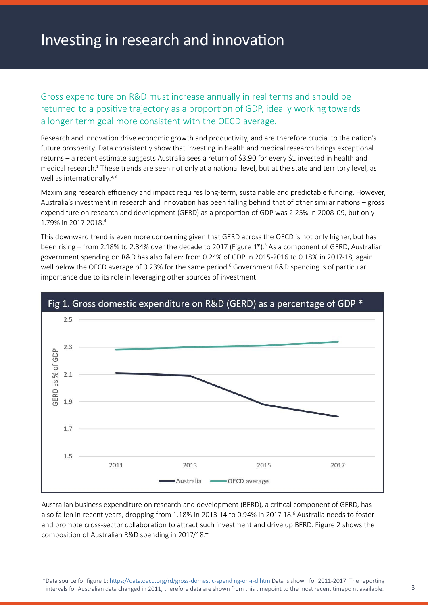### Investing in research and innovation

Gross expenditure on R&D must increase annually in real terms and should be returned to a positive trajectory as a proportion of GDP, ideally working towards a longer term goal more consistent with the OECD average.

Research and innovation drive economic growth and productivity, and are therefore crucial to the nation's future prosperity. Data consistently show that investing in health and medical research brings exceptional returns – a recent estimate suggests Australia sees a return of \$3.90 for every \$1 invested in health and medical research.<sup>1</sup> These trends are seen not only at a national level, but at the state and territory level, as well as internationally.<sup>2,3</sup>

Maximising research efficiency and impact requires long-term, sustainable and predictable funding. However, Australia's investment in research and innovation has been falling behind that of other similar nations – gross expenditure on research and development (GERD) as a proportion of GDP was 2.25% in 2008-09, but only 1.79% in 2017-2018.4

This downward trend is even more concerning given that GERD across the OECD is not only higher, but has been rising – from 2.18% to 2.34% over the decade to 2017 (Figure 1\*).<sup>5</sup> As a component of GERD, Australian government spending on R&D has also fallen: from 0.24% of GDP in 2015-2016 to 0.18% in 2017-18, again well below the OECD average of 0.23% for the same period.<sup>6</sup> Government R&D spending is of particular importance due to its role in leveraging other sources of investment.



Australian business expenditure on research and development (BERD), a critical component of GERD, has also fallen in recent years, dropping from 1.18% in 2013-14 to 0.94% in 2017-18.<sup>6</sup> Australia needs to foster and promote cross-sector collaboration to attract such investment and drive up BERD. Figure 2 shows the composition of Australian R&D spending in 2017/18.†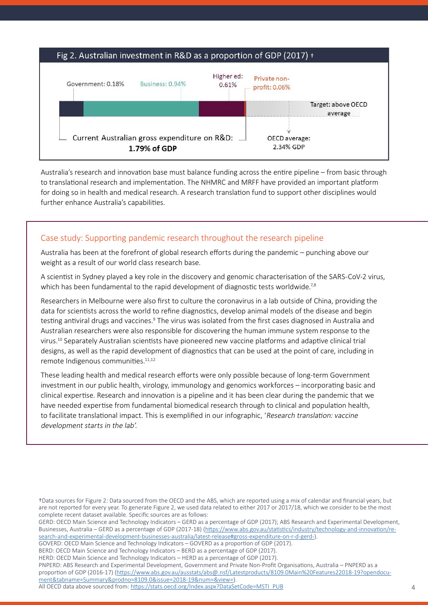

Australia's research and innovation base must balance funding across the entire pipeline – from basic through to translational research and implementation. The NHMRC and MRFF have provided an important platform for doing so in health and medical research. A research translation fund to support other disciplines would further enhance Australia's capabilities.

#### Case study: Supporting pandemic research throughout the research pipeline

Australia has been at the forefront of global research efforts during the pandemic – punching above our weight as a result of our world class research base.

A scientist in Sydney played a key role in the discovery and genomic characterisation of the SARS-CoV-2 virus, which has been fundamental to the rapid development of diagnostic tests worldwide.<sup>7,8</sup>

Researchers in Melbourne were also first to culture the coronavirus in a lab outside of China, providing the data for scientists across the world to refine diagnostics, develop animal models of the disease and begin testing antiviral drugs and vaccines.<sup>9</sup> The virus was isolated from the first cases diagnosed in Australia and Australian researchers were also responsible for discovering the human immune system response to the virus.<sup>10</sup> Separately Australian scientists have pioneered new vaccine platforms and adaptive clinical trial designs, as well as the rapid development of diagnostics that can be used at the point of care, including in remote Indigenous communities.<sup>11,12</sup>

These leading health and medical research efforts were only possible because of long-term Government investment in our public health, virology, immunology and genomics workforces – incorporating basic and clinical expertise. Research and innovation is a pipeline and it has been clear during the pandemic that we have needed expertise from fundamental biomedical research through to clinical and population health, to facilitate translational impact. This is exemplified in our infographic, 'Research translation: vaccine development starts in the lab'.

†Data sources for Figure 2: Data sourced from the OECD and the ABS, which are reported using a mix of calendar and financial years, but are not reported for every year. To generate Figure 2, we used data related to either 2017 or 2017/18, which we consider to be the most complete recent dataset available. Specific sources are as follows:

GERD: OECD Main Science and Technology Indicators – GERD as a percentage of GDP (2017); ABS Research and Experimental Development, Businesses, Australia – GERD as a percentage of GDP (2017-18) [\(https://www.abs.gov.au/statistics/industry/technology-and-innovation/re](https://www.abs.gov.au/statistics/industry/technology-and-innovation/research-and-experimental-development-businesses-australia/latest-release#gross-expenditure-on-r-d-gerd-)[search-and-experimental-development-businesses-australia/latest-release#gross-expenditure-on-r-d-gerd-](https://www.abs.gov.au/statistics/industry/technology-and-innovation/research-and-experimental-development-businesses-australia/latest-release#gross-expenditure-on-r-d-gerd-)).

GOVERD: OECD Main Science and Technology Indicators – GOVERD as a proportion of GDP (2017).

BERD: OECD Main Science and Technology Indicators – BERD as a percentage of GDP (2017).

PNPERD: ABS Research and Experimental Development, Government and Private Non-Profit Organisations, Australia – PNPERD as a proportion of GDP (2016-17) [\(https://www.abs.gov.au/ausstats/abs@.nsf/Latestproducts/8109.0Main%20Features22018-19?opendocu](mailto:https://www.abs.gov.au/ausstats/abs@.nsf/Latestproducts/8109.0Main%20Features22018-19?opendocument&tabname=Summary&prodno=8109.0&issue=2018-19&num=&view=)[ment&tabname=Summary&prodno=8109.0&issue=2018-19&num=&view=\)](mailto:https://www.abs.gov.au/ausstats/abs@.nsf/Latestproducts/8109.0Main%20Features22018-19?opendocument&tabname=Summary&prodno=8109.0&issue=2018-19&num=&view=).

HERD: OECD Main Science and Technology Indicators – HERD as a percentage of GDP (2017).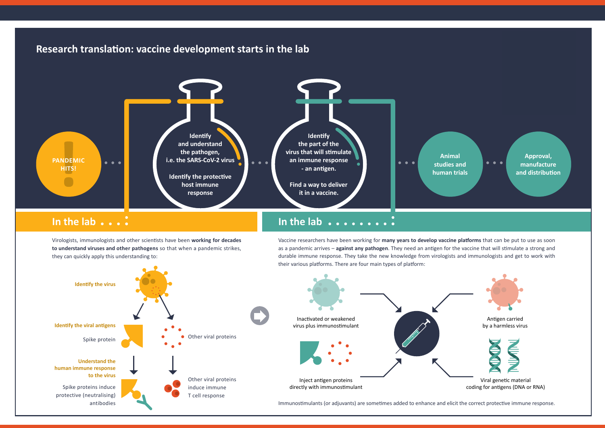### **Research translation: vaccine development starts in the lab**



### **In the lab**

**In the lab**

Virologists, immunologists and other scientists have been **working for decades to understand viruses and other pathogens** so that when a pandemic strikes, they can quickly apply this understanding to:

Vaccine researchers have been working for **many years to develop vaccine platforms** that can be put to use as soon as a pandemic arrives – **against any pathogen**. They need an antigen for the vaccine that will stimulate a strong and durable immune response. They take the new knowledge from virologists and immunologists and get to work with their various platforms. There are four main types of platform:

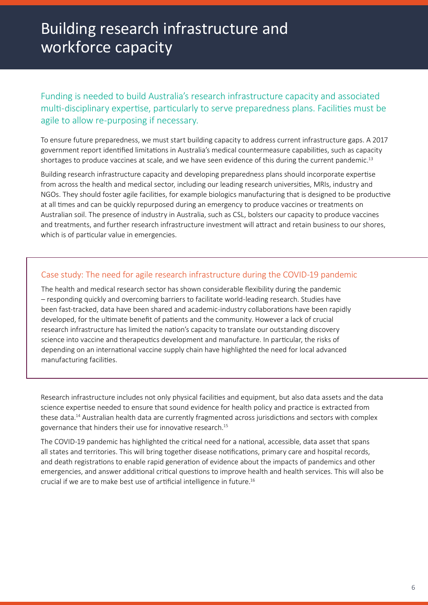### Building research infrastructure and workforce capacity

### Funding is needed to build Australia's research infrastructure capacity and associated multi-disciplinary expertise, particularly to serve preparedness plans. Facilities must be agile to allow re-purposing if necessary.

To ensure future preparedness, we must start building capacity to address current infrastructure gaps. A 2017 government report identified limitations in Australia's medical countermeasure capabilities, such as capacity shortages to produce vaccines at scale, and we have seen evidence of this during the current pandemic.<sup>13</sup>

Building research infrastructure capacity and developing preparedness plans should incorporate expertise from across the health and medical sector, including our leading research universities, MRIs, industry and NGOs. They should foster agile facilities, for example biologics manufacturing that is designed to be productive at all times and can be quickly repurposed during an emergency to produce vaccines or treatments on Australian soil. The presence of industry in Australia, such as CSL, bolsters our capacity to produce vaccines and treatments, and further research infrastructure investment will attract and retain business to our shores, which is of particular value in emergencies.

### Case study: The need for agile research infrastructure during the COVID-19 pandemic

The health and medical research sector has shown considerable flexibility during the pandemic – responding quickly and overcoming barriers to facilitate world-leading research. Studies have been fast-tracked, data have been shared and academic-industry collaborations have been rapidly developed, for the ultimate benefit of patients and the community. However a lack of crucial research infrastructure has limited the nation's capacity to translate our outstanding discovery science into vaccine and therapeutics development and manufacture. In particular, the risks of depending on an international vaccine supply chain have highlighted the need for local advanced manufacturing facilities.

Research infrastructure includes not only physical facilities and equipment, but also data assets and the data science expertise needed to ensure that sound evidence for health policy and practice is extracted from these data.14 Australian health data are currently fragmented across jurisdictions and sectors with complex governance that hinders their use for innovative research.15

The COVID-19 pandemic has highlighted the critical need for a national, accessible, data asset that spans all states and territories. This will bring together disease notifications, primary care and hospital records, and death registrations to enable rapid generation of evidence about the impacts of pandemics and other emergencies, and answer additional critical questions to improve health and health services. This will also be crucial if we are to make best use of artificial intelligence in future.16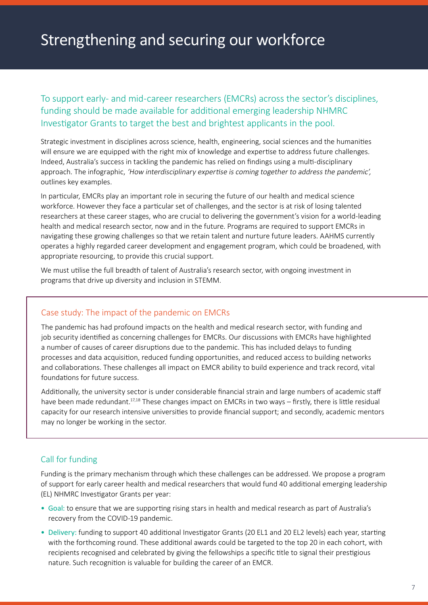### Strengthening and securing our workforce

To support early- and mid-career researchers (EMCRs) across the sector's disciplines, funding should be made available for additional emerging leadership NHMRC Investigator Grants to target the best and brightest applicants in the pool.

Strategic investment in disciplines across science, health, engineering, social sciences and the humanities will ensure we are equipped with the right mix of knowledge and expertise to address future challenges. Indeed, Australia's success in tackling the pandemic has relied on findings using a multi-disciplinary approach. The infographic, 'How interdisciplinary expertise is coming together to address the pandemic', outlines key examples.

In particular, EMCRs play an important role in securing the future of our health and medical science workforce. However they face a particular set of challenges, and the sector is at risk of losing talented researchers at these career stages, who are crucial to delivering the government's vision for a world-leading health and medical research sector, now and in the future. Programs are required to support EMCRs in navigating these growing challenges so that we retain talent and nurture future leaders. AAHMS currently operates a highly regarded career development and engagement program, which could be broadened, with appropriate resourcing, to provide this crucial support.

We must utilise the full breadth of talent of Australia's research sector, with ongoing investment in programs that drive up diversity and inclusion in STEMM.

#### Case study: The impact of the pandemic on EMCRs

The pandemic has had profound impacts on the health and medical research sector, with funding and job security identified as concerning challenges for EMCRs. Our discussions with EMCRs have highlighted a number of causes of career disruptions due to the pandemic. This has included delays to funding processes and data acquisition, reduced funding opportunities, and reduced access to building networks and collaborations. These challenges all impact on EMCR ability to build experience and track record, vital foundations for future success.

Additionally, the university sector is under considerable financial strain and large numbers of academic staff have been made redundant.<sup>17,18</sup> These changes impact on EMCRs in two ways – firstly, there is little residual capacity for our research intensive universities to provide financial support; and secondly, academic mentors may no longer be working in the sector.

### Call for funding

Funding is the primary mechanism through which these challenges can be addressed. We propose a program of support for early career health and medical researchers that would fund 40 additional emerging leadership (EL) NHMRC Investigator Grants per year:

- Goal: to ensure that we are supporting rising stars in health and medical research as part of Australia's recovery from the COVID-19 pandemic.
- Delivery: funding to support 40 additional Investigator Grants (20 EL1 and 20 EL2 levels) each year, starting with the forthcoming round. These additional awards could be targeted to the top 20 in each cohort, with recipients recognised and celebrated by giving the fellowships a specific title to signal their prestigious nature. Such recognition is valuable for building the career of an EMCR.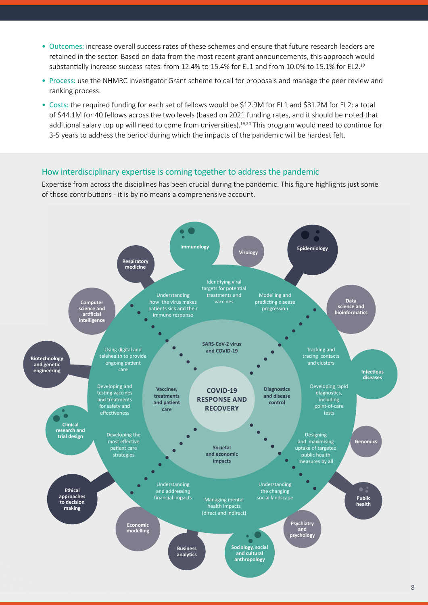- Outcomes: increase overall success rates of these schemes and ensure that future research leaders are retained in the sector. Based on data from the most recent grant announcements, this approach would substantially increase success rates: from 12.4% to 15.4% for EL1 and from 10.0% to 15.1% for EL2.19
- Process: use the NHMRC Investigator Grant scheme to call for proposals and manage the peer review and ranking process.
- Costs: the required funding for each set of fellows would be \$12.9M for EL1 and \$31.2M for EL2: a total of \$44.1M for 40 fellows across the two levels (based on 2021 funding rates, and it should be noted that additional salary top up will need to come from universities).19,20 This program would need to continue for 3-5 years to address the period during which the impacts of the pandemic will be hardest felt.

#### How interdisciplinary expertise is coming together to address the pandemic

Expertise from across the disciplines has been crucial during the pandemic. This figure highlights just some of those contributions - it is by no means a comprehensive account.

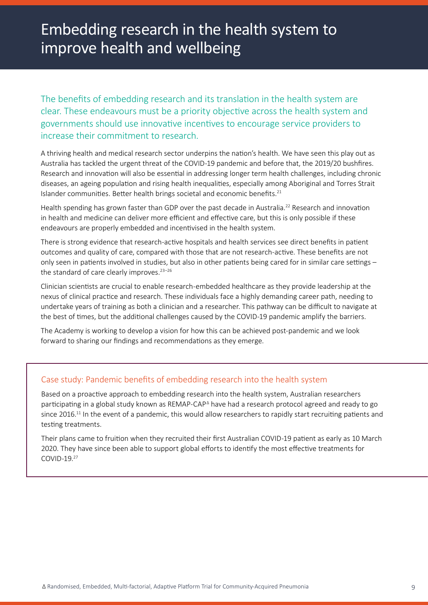### Embedding research in the health system to improve health and wellbeing

The benefits of embedding research and its translation in the health system are clear. These endeavours must be a priority objective across the health system and governments should use innovative incentives to encourage service providers to increase their commitment to research.

A thriving health and medical research sector underpins the nation's health. We have seen this play out as Australia has tackled the urgent threat of the COVID-19 pandemic and before that, the 2019/20 bushfires. Research and innovation will also be essential in addressing longer term health challenges, including chronic diseases, an ageing population and rising health inequalities, especially among Aboriginal and Torres Strait Islander communities. Better health brings societal and economic benefits.<sup>21</sup>

Health spending has grown faster than GDP over the past decade in Australia.<sup>22</sup> Research and innovation in health and medicine can deliver more efficient and effective care, but this is only possible if these endeavours are properly embedded and incentivised in the health system.

There is strong evidence that research-active hospitals and health services see direct benefits in patient outcomes and quality of care, compared with those that are not research-active. These benefits are not only seen in patients involved in studies, but also in other patients being cared for in similar care settings – the standard of care clearly improves. $23-26$ 

Clinician scientists are crucial to enable research-embedded healthcare as they provide leadership at the nexus of clinical practice and research. These individuals face a highly demanding career path, needing to undertake years of training as both a clinician and a researcher. This pathway can be difficult to navigate at the best of times, but the additional challenges caused by the COVID-19 pandemic amplify the barriers.

The Academy is working to develop a vision for how this can be achieved post-pandemic and we look forward to sharing our findings and recommendations as they emerge.

### Case study: Pandemic benefits of embedding research into the health system

Based on a proactive approach to embedding research into the health system, Australian researchers participating in a global study known as REMAP-CAP<sup>^</sup> have had a research protocol agreed and ready to go since 2016.<sup>11</sup> In the event of a pandemic, this would allow researchers to rapidly start recruiting patients and testing treatments.

Their plans came to fruition when they recruited their first Australian COVID-19 patient as early as 10 March 2020. They have since been able to support global efforts to identify the most effective treatments for COVID-19.27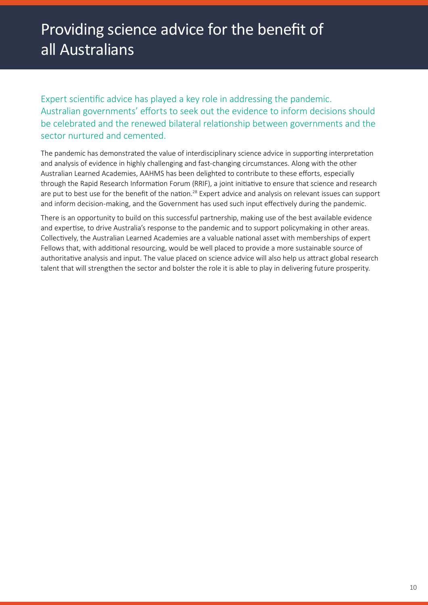Expert scientific advice has played a key role in addressing the pandemic. Australian governments' efforts to seek out the evidence to inform decisions should be celebrated and the renewed bilateral relationship between governments and the sector nurtured and cemented.

The pandemic has demonstrated the value of interdisciplinary science advice in supporting interpretation and analysis of evidence in highly challenging and fast-changing circumstances. Along with the other Australian Learned Academies, AAHMS has been delighted to contribute to these efforts, especially through the Rapid Research Information Forum (RRIF), a joint initiative to ensure that science and research are put to best use for the benefit of the nation.<sup>28</sup> Expert advice and analysis on relevant issues can support and inform decision-making, and the Government has used such input effectively during the pandemic.

There is an opportunity to build on this successful partnership, making use of the best available evidence and expertise, to drive Australia's response to the pandemic and to support policymaking in other areas. Collectively, the Australian Learned Academies are a valuable national asset with memberships of expert Fellows that, with additional resourcing, would be well placed to provide a more sustainable source of authoritative analysis and input. The value placed on science advice will also help us attract global research talent that will strengthen the sector and bolster the role it is able to play in delivering future prosperity.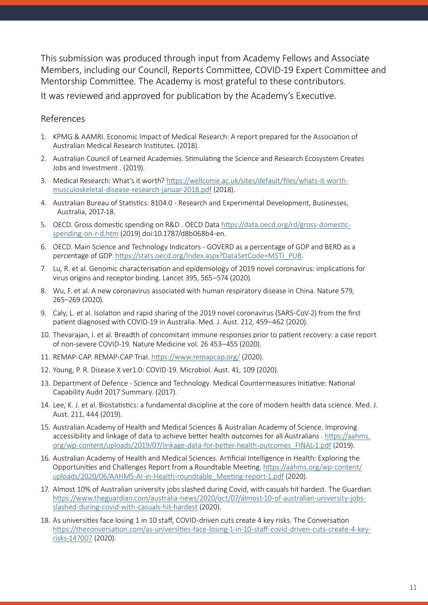This submission was produced through input from Academy Fellows and Associate Members, including our Council, Reports Committee, COVID-19 Expert Committee and Mentorship Committee. The Academy is most grateful to these contributors.

It was reviewed and approved for publication by the Academy's Executive.

### References

- 1. KPMG & AAMRI. Economic Impact of Medical Research: A report prepared for the Association of Australian Medical Research Institutes. (2018).
- 2. Australian Council of Learned Academies. Stimulating the Science and Research Ecosystem Creates Jobs and Investment . (2019).
- 3. Medical Research: What's it worth? [https://wellcome.ac.uk/sites/default/files/whats-it-worth](https://wellcome.ac.uk/sites/default/files/whats-it-worth-musculoskeletal-disease-research-januar-2018.pdf)[musculoskeletal-disease-research-januar-2018.pdf](https://wellcome.ac.uk/sites/default/files/whats-it-worth-musculoskeletal-disease-research-januar-2018.pdf) (2018).
- 4. Australian Bureau of Statistics. 8104.0 Research and Experimental Development, Businesses, Australia, 2017-18.
- 5. OECD. Gross domestic spending on R&D . OECD Data [https://data.oecd.org/rd/gross-domestic](https://data.oecd.org/rd/gross-domestic-spending-on-r-d.htm)[spending-on-r-d.htm \(2019\) doi:10.1787/d8b068b4-en](https://data.oecd.org/rd/gross-domestic-spending-on-r-d.htm).
- 6. OECD. Main Science and Technology Indicators GOVERD as a percentage of GDP and BERD as a percentage of GDP. [https://stats.oecd.org/Index.aspx?DataSetCode=MSTI\\_PUB.](https://stats.oecd.org/Index.aspx?DataSetCode=MSTI_PUB)
- 7. Lu, R. et al. Genomic characterisation and epidemiology of 2019 novel coronavirus: implications for virus origins and receptor binding. Lancet 395, 565–574 (2020).
- 8. Wu, F. et al. A new coronavirus associated with human respiratory disease in China. Nature 579, 265–269 (2020).
- 9. Caly, L. et al. Isolation and rapid sharing of the 2019 novel coronavirus (SARS-CoV-2) from the first patient diagnosed with COVID-19 in Australia. Med. J. Aust. 212, 459–462 (2020).
- 10. Thevarajan, I. et al. Breadth of concomitant immune responses prior to patient recovery: a case report of non-severe COVID-19. Nature Medicine vol. 26 453–455 (2020).
- 11. REMAP-CAP. REMAP-CAP Trial. <https://www.remapcap.org/> (2020).
- 12. Young, P. R. Disease X ver1.0: COVID-19. Microbiol. Aust. 41, 109 (2020).
- 13. Department of Defence Science and Technology. Medical Countermeasures Initiative: National Capability Audit 2017 Summary. (2017).
- 14. Lee, K. J. et al. Biostatistics: a fundamental discipline at the core of modern health data science. Med. J. Aust. 211, 444 (2019).
- 15. Australian Academy of Health and Medical Sciences & Australian Academy of Science. Improving accessibility and linkage of data to achieve better health outcomes for all Australians . [https://aahms.](https://aahms.org/wp-content/uploads/2019/07/linkage-data-for-better-health-outcomes_FINAL-1.pdf) [org/wp-content/uploads/2019/07/linkage-data-for-better-health-outcomes\\_FINAL-1.pdf](https://aahms.org/wp-content/uploads/2019/07/linkage-data-for-better-health-outcomes_FINAL-1.pdf) (2019).
- 16. Australian Academy of Health and Medical Sciences. Artificial Intelligence in Health: Exploring the Opportunities and Challenges Report from a Roundtable Meeting. [https://aahms.org/wp-content/](https://aahms.org/wp-content/uploads/2020/06/AAHMS-AI-in-Health-roundtable_Meeting-report-1.pdf) [uploads/2020/06/AAHMS-AI-in-Health-roundtable\\_Meeting-report-1.pdf](https://aahms.org/wp-content/uploads/2020/06/AAHMS-AI-in-Health-roundtable_Meeting-report-1.pdf) (2020).
- 17. Almost 10% of Australian university jobs slashed during Covid, with casuals hit hardest. The Guardian [https://www.theguardian.com/australia-news/2020/oct/07/almost-10-of-australian-university-jobs](https://www.theguardian.com/australia-news/2020/oct/07/almost-10-of-australian-university-jobs-slashed-during-covid-with-casuals-hit-hardest)[slashed-during-covid-with-casuals-hit-hardest](https://www.theguardian.com/australia-news/2020/oct/07/almost-10-of-australian-university-jobs-slashed-during-covid-with-casuals-hit-hardest) (2020).
- 18. As universities face losing 1 in 10 staff, COVID-driven cuts create 4 key risks. The Conversation [https://theconversation.com/as-universities-face-losing-1-in-10-staff-covid-driven-cuts-create-4-key](https://theconversation.com/as-universities-face-losing-1-in-10-staff-covid-driven-cuts-create-4-key-risks-147007)[risks-147007](https://theconversation.com/as-universities-face-losing-1-in-10-staff-covid-driven-cuts-create-4-key-risks-147007) (2020).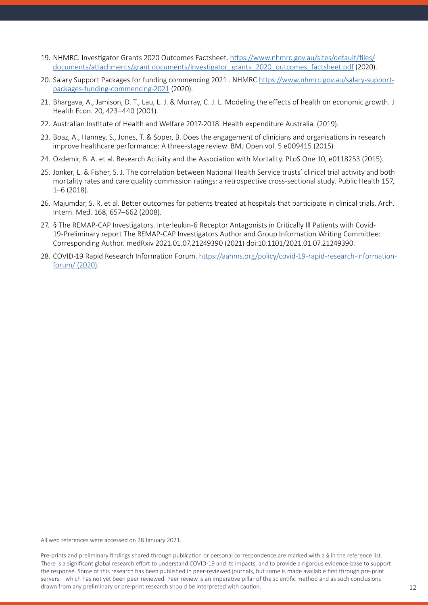- 19. NHMRC. Investigator Grants 2020 Outcomes Factsheet. [https://www.nhmrc.gov.au/sites/default/files/](https://www.nhmrc.gov.au/sites/default/files/documents/attachments/grant documents/investigator_grants_2020_outcomes_factsheet.pdf) [documents/attachments/grant documents/investigator\\_grants\\_2020\\_outcomes\\_factsheet.pdf](https://www.nhmrc.gov.au/sites/default/files/documents/attachments/grant documents/investigator_grants_2020_outcomes_factsheet.pdf) (2020).
- 20. Salary Support Packages for funding commencing 2021 . NHMRC [https://www.nhmrc.gov.au/salary-support](https://www.nhmrc.gov.au/salary-support-packages-funding-commencing-2021)[packages-funding-commencing-2021 \(2020\).](https://www.nhmrc.gov.au/salary-support-packages-funding-commencing-2021)
- 21. Bhargava, A., Jamison, D. T., Lau, L. J. & Murray, C. J. L. Modeling the effects of health on economic growth. J. Health Econ. 20, 423–440 (2001).
- 22. Australian Institute of Health and Welfare 2017-2018. Health expenditure Australia. (2019).
- 23. Boaz, A., Hanney, S., Jones, T. & Soper, B. Does the engagement of clinicians and organisations in research improve healthcare performance: A three-stage review. BMJ Open vol. 5 e009415 (2015).
- 24. Ozdemir, B. A. et al. Research Activity and the Association with Mortality. PLoS One 10, e0118253 (2015).
- 25. Jonker, L. & Fisher, S. J. The correlation between National Health Service trusts' clinical trial activity and both mortality rates and care quality commission ratings: a retrospective cross-sectional study. Public Health 157, 1–6 (2018).
- 26. Majumdar, S. R. et al. Better outcomes for patients treated at hospitals that participate in clinical trials. Arch. Intern. Med. 168, 657–662 (2008).
- 27. § The REMAP-CAP Investigators. Interleukin-6 Receptor Antagonists in Critically Ill Patients with Covid-19-Preliminary report The REMAP-CAP Investigators Author and Group Information Writing Committee: Corresponding Author. medRxiv 2021.01.07.21249390 (2021) doi:10.1101/2021.01.07.21249390.
- 28. COVID-19 Rapid Research Information Forum. [https://aahms.org/policy/covid-19-rapid-research-information](https://aahms.org/policy/covid-19-rapid-research-information-forum/)[forum/ \(2020\).](https://aahms.org/policy/covid-19-rapid-research-information-forum/)

All web references were accessed on 28 January 2021.

Pre-prints and preliminary findings shared through publication or personal correspondence are marked with a § in the reference list. There is a significant global research effort to understand COVID-19 and its impacts, and to provide a rigorous evidence-base to support the response. Some of this research has been published in peer-reviewed journals, but some is made available first through pre-print servers – which has not yet been peer reviewed. Peer review is an imperative pillar of the scientific method and as such conclusions drawn from any preliminary or pre-print research should be interpreted with caution. 12